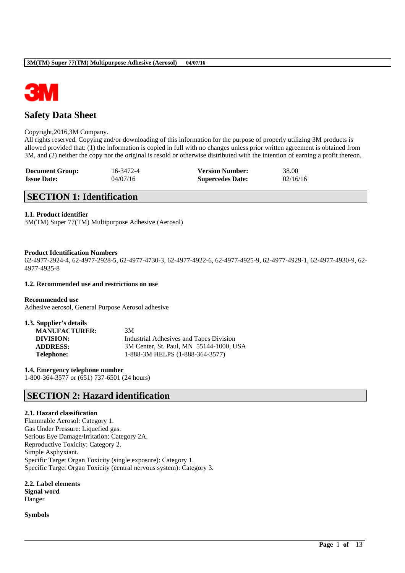

# **Safety Data Sheet**

### Copyright,2016,3M Company.

All rights reserved. Copying and/or downloading of this information for the purpose of properly utilizing 3M products is allowed provided that: (1) the information is copied in full with no changes unless prior written agreement is obtained from 3M, and (2) neither the copy nor the original is resold or otherwise distributed with the intention of earning a profit thereon.

| <b>Document Group:</b> | 16-3472-4 | <b>Version Number:</b>  | 38.00    |
|------------------------|-----------|-------------------------|----------|
| <b>Issue Date:</b>     | 04/07/16  | <b>Supercedes Date:</b> | 02/16/16 |

# **SECTION 1: Identification**

## **1.1. Product identifier**

3M(TM) Super 77(TM) Multipurpose Adhesive (Aerosol)

### **Product Identification Numbers**

62-4977-2924-4, 62-4977-2928-5, 62-4977-4730-3, 62-4977-4922-6, 62-4977-4925-9, 62-4977-4929-1, 62-4977-4930-9, 62- 4977-4935-8

\_\_\_\_\_\_\_\_\_\_\_\_\_\_\_\_\_\_\_\_\_\_\_\_\_\_\_\_\_\_\_\_\_\_\_\_\_\_\_\_\_\_\_\_\_\_\_\_\_\_\_\_\_\_\_\_\_\_\_\_\_\_\_\_\_\_\_\_\_\_\_\_\_\_\_\_\_\_\_\_\_\_\_\_\_\_\_\_\_\_

### **1.2. Recommended use and restrictions on use**

**Recommended use** Adhesive aerosol, General Purpose Aerosol adhesive

| 3M                                      |
|-----------------------------------------|
| Industrial Adhesives and Tapes Division |
| 3M Center, St. Paul, MN 55144-1000, USA |
| 1-888-3M HELPS (1-888-364-3577)         |
|                                         |

**1.4. Emergency telephone number**

1-800-364-3577 or (651) 737-6501 (24 hours)

# **SECTION 2: Hazard identification**

## **2.1. Hazard classification**

Flammable Aerosol: Category 1. Gas Under Pressure: Liquefied gas. Serious Eye Damage/Irritation: Category 2A. Reproductive Toxicity: Category 2. Simple Asphyxiant. Specific Target Organ Toxicity (single exposure): Category 1. Specific Target Organ Toxicity (central nervous system): Category 3.

**2.2. Label elements Signal word** Danger

**Symbols**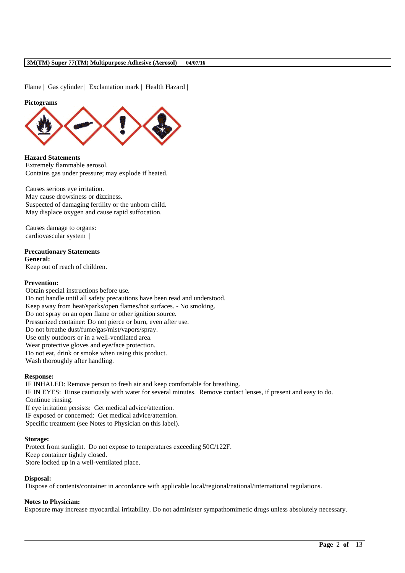Flame | Gas cylinder | Exclamation mark | Health Hazard |

#### **Pictograms**



**Hazard Statements** Extremely flammable aerosol. Contains gas under pressure; may explode if heated.

Causes serious eye irritation. May cause drowsiness or dizziness. Suspected of damaging fertility or the unborn child. May displace oxygen and cause rapid suffocation.

Causes damage to organs: cardiovascular system |

# **Precautionary Statements**

**General:**

Keep out of reach of children.

## **Prevention:**

Obtain special instructions before use. Do not handle until all safety precautions have been read and understood. Keep away from heat/sparks/open flames/hot surfaces. - No smoking. Do not spray on an open flame or other ignition source. Pressurized container: Do not pierce or burn, even after use. Do not breathe dust/fume/gas/mist/vapors/spray. Use only outdoors or in a well-ventilated area. Wear protective gloves and eye/face protection. Do not eat, drink or smoke when using this product. Wash thoroughly after handling.

### **Response:**

IF INHALED: Remove person to fresh air and keep comfortable for breathing. IF IN EYES: Rinse cautiously with water for several minutes. Remove contact lenses, if present and easy to do. Continue rinsing. If eye irritation persists: Get medical advice/attention. IF exposed or concerned: Get medical advice/attention. Specific treatment (see Notes to Physician on this label).

#### **Storage:**

Protect from sunlight. Do not expose to temperatures exceeding 50C/122F. Keep container tightly closed. Store locked up in a well-ventilated place.

# **Disposal:**

Dispose of contents/container in accordance with applicable local/regional/national/international regulations.

### **Notes to Physician:**

Exposure may increase myocardial irritability. Do not administer sympathomimetic drugs unless absolutely necessary.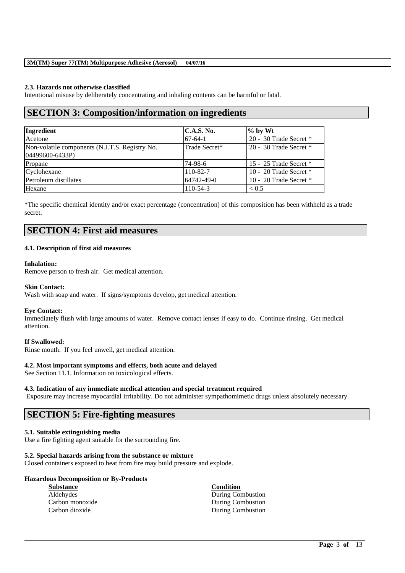## **2.3. Hazards not otherwise classified**

Intentional misuse by deliberately concentrating and inhaling contents can be harmful or fatal.

# **SECTION 3: Composition/information on ingredients**

| Ingredient                                                        | C.A.S. No.    | $%$ by Wt                |
|-------------------------------------------------------------------|---------------|--------------------------|
| Acetone                                                           | $67-64-1$     | 20 - 30 Trade Secret *   |
| Non-volatile components (N.J.T.S. Registry No.<br>04499600-6433P) | Trade Secret* | 20 - 30 Trade Secret $*$ |
| Propane                                                           | 74-98-6       | 15 - 25 Trade Secret *   |
| Cyclohexane                                                       | 110-82-7      | 10 - 20 Trade Secret *   |
| Petroleum distillates                                             | 64742-49-0    | 10 - 20 Trade Secret *   |
| Hexane                                                            | 110-54-3      | < 0.5                    |

\*The specific chemical identity and/or exact percentage (concentration) of this composition has been withheld as a trade secret.

# **SECTION 4: First aid measures**

### **4.1. Description of first aid measures**

## **Inhalation:**

Remove person to fresh air. Get medical attention.

### **Skin Contact:**

Wash with soap and water. If signs/symptoms develop, get medical attention.

### **Eye Contact:**

Immediately flush with large amounts of water. Remove contact lenses if easy to do. Continue rinsing. Get medical attention.

### **If Swallowed:**

Rinse mouth. If you feel unwell, get medical attention.

### **4.2. Most important symptoms and effects, both acute and delayed**

See Section 11.1. Information on toxicological effects.

#### **4.3. Indication of any immediate medical attention and special treatment required**

Exposure may increase myocardial irritability. Do not administer sympathomimetic drugs unless absolutely necessary.

\_\_\_\_\_\_\_\_\_\_\_\_\_\_\_\_\_\_\_\_\_\_\_\_\_\_\_\_\_\_\_\_\_\_\_\_\_\_\_\_\_\_\_\_\_\_\_\_\_\_\_\_\_\_\_\_\_\_\_\_\_\_\_\_\_\_\_\_\_\_\_\_\_\_\_\_\_\_\_\_\_\_\_\_\_\_\_\_\_\_

# **SECTION 5: Fire-fighting measures**

### **5.1. Suitable extinguishing media**

Use a fire fighting agent suitable for the surrounding fire.

### **5.2. Special hazards arising from the substance or mixture**

Closed containers exposed to heat from fire may build pressure and explode.

| <b>Hazardous Decomposition or By-Products</b> |                          |
|-----------------------------------------------|--------------------------|
| <b>Substance</b>                              | <b>Condition</b>         |
| Aldehydes                                     | During Combustion        |
| Carbon monoxide                               | During Combustion        |
| Carbon dioxide                                | <b>During Combustion</b> |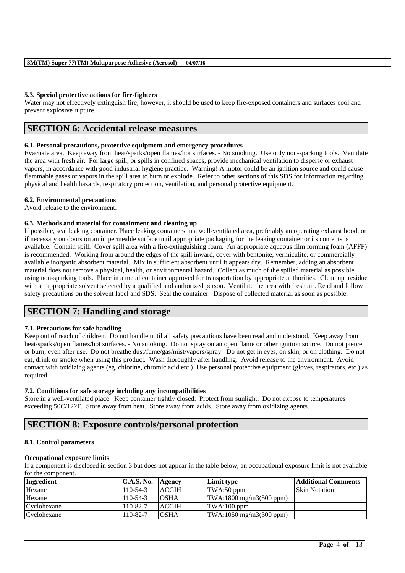## **5.3. Special protective actions for fire-fighters**

Water may not effectively extinguish fire; however, it should be used to keep fire-exposed containers and surfaces cool and prevent explosive rupture.

# **SECTION 6: Accidental release measures**

## **6.1. Personal precautions, protective equipment and emergency procedures**

Evacuate area. Keep away from heat/sparks/open flames/hot surfaces. - No smoking. Use only non-sparking tools. Ventilate the area with fresh air. For large spill, or spills in confined spaces, provide mechanical ventilation to disperse or exhaust vapors, in accordance with good industrial hygiene practice. Warning! A motor could be an ignition source and could cause flammable gases or vapors in the spill area to burn or explode. Refer to other sections of this SDS for information regarding physical and health hazards, respiratory protection, ventilation, and personal protective equipment.

### **6.2. Environmental precautions**

Avoid release to the environment.

# **6.3. Methods and material for containment and cleaning up**

If possible, seal leaking container. Place leaking containers in a well-ventilated area, preferably an operating exhaust hood, or if necessary outdoors on an impermeable surface until appropriate packaging for the leaking container or its contents is available. Contain spill. Cover spill area with a fire-extinguishing foam. An appropriate aqueous film forming foam (AFFF) is recommended. Working from around the edges of the spill inward, cover with bentonite, vermiculite, or commercially available inorganic absorbent material. Mix in sufficient absorbent until it appears dry. Remember, adding an absorbent material does not remove a physical, health, or environmental hazard. Collect as much of the spilled material as possible using non-sparking tools. Place in a metal container approved for transportation by appropriate authorities. Clean up residue with an appropriate solvent selected by a qualified and authorized person. Ventilate the area with fresh air. Read and follow safety precautions on the solvent label and SDS. Seal the container. Dispose of collected material as soon as possible.

# **SECTION 7: Handling and storage**

# **7.1. Precautions for safe handling**

Keep out of reach of children. Do not handle until all safety precautions have been read and understood. Keep away from heat/sparks/open flames/hot surfaces. - No smoking. Do not spray on an open flame or other ignition source. Do not pierce or burn, even after use. Do not breathe dust/fume/gas/mist/vapors/spray. Do not get in eyes, on skin, or on clothing. Do not eat, drink or smoke when using this product. Wash thoroughly after handling. Avoid release to the environment. Avoid contact with oxidizing agents (eg. chlorine, chromic acid etc.) Use personal protective equipment (gloves, respirators, etc.) as required.

# **7.2. Conditions for safe storage including any incompatibilities**

Store in a well-ventilated place. Keep container tightly closed. Protect from sunlight. Do not expose to temperatures exceeding 50C/122F. Store away from heat. Store away from acids. Store away from oxidizing agents.

# **SECTION 8: Exposure controls/personal protection**

# **8.1. Control parameters**

# **Occupational exposure limits**

If a component is disclosed in section 3 but does not appear in the table below, an occupational exposure limit is not available for the component.

| Ingredient  | <b>C.A.S. No.</b> | Agency       | Limit type                       | <b>Additional Comments</b> |
|-------------|-------------------|--------------|----------------------------------|----------------------------|
| Hexane      | $110-54-3$        | <b>ACGIH</b> | TWA:50 ppm                       | <b>Skin Notation</b>       |
| Hexane      | $110-54-3$        | <b>OSHA</b>  | $\text{TWA:1800 mg/m3(500 ppm)}$ |                            |
| Cyclohexane | 110-82-7          | <b>ACGIH</b> | TWA:100 ppm                      |                            |
| Cyclohexane | 110-82-7          | <b>OSHA</b>  | $\text{TWA:1050 mg/m3(300 ppm)}$ |                            |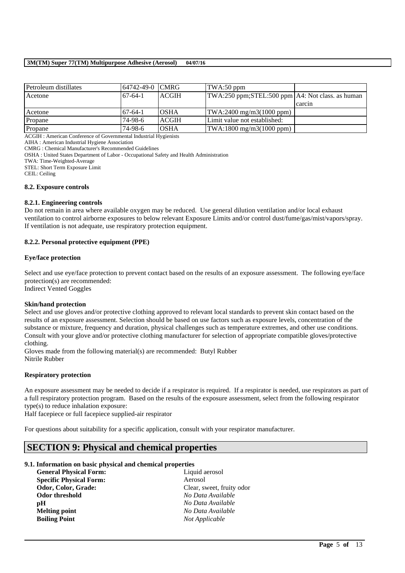| Petroleum distillates                                                                                                                                                                                                                                                                                                                                                                                                  | 64742-49-0 CMRG |              | TWA:50 ppm                                          |        |
|------------------------------------------------------------------------------------------------------------------------------------------------------------------------------------------------------------------------------------------------------------------------------------------------------------------------------------------------------------------------------------------------------------------------|-----------------|--------------|-----------------------------------------------------|--------|
| Acetone                                                                                                                                                                                                                                                                                                                                                                                                                | $67-64-1$       | ACGIH        | TWA:250 ppm;STEL:500 ppm A4: Not class. as human    |        |
|                                                                                                                                                                                                                                                                                                                                                                                                                        |                 |              |                                                     | carcin |
| Acetone                                                                                                                                                                                                                                                                                                                                                                                                                | $67-64-1$       | <b>OSHA</b>  | $\text{TWA:} 2400 \text{ mg/m} 3(1000 \text{ ppm})$ |        |
| Propane                                                                                                                                                                                                                                                                                                                                                                                                                | 74-98-6         | <b>ACGIH</b> | Limit value not established:                        |        |
| Propane                                                                                                                                                                                                                                                                                                                                                                                                                | 74-98-6         | <b>OSHA</b>  | $TWA:1800$ mg/m $3(1000$ ppm)                       |        |
| $\overline{a}$ $\overline{a}$ $\overline{a}$ $\overline{a}$ $\overline{a}$ $\overline{a}$ $\overline{a}$ $\overline{a}$ $\overline{a}$ $\overline{a}$ $\overline{a}$ $\overline{a}$ $\overline{a}$ $\overline{a}$ $\overline{a}$ $\overline{a}$ $\overline{a}$ $\overline{a}$ $\overline{a}$ $\overline{a}$ $\overline{a}$ $\overline{a}$ $\overline{a}$ $\overline{a}$ $\overline{$<br>$\sim$ $\sim$<br>$\sim$ $\sim$ |                 |              |                                                     |        |

ACGIH : American Conference of Governmental Industrial Hygienists

AIHA : American Industrial Hygiene Association

CMRG : Chemical Manufacturer's Recommended Guidelines

OSHA : United States Department of Labor - Occupational Safety and Health Administration

TWA: Time-Weighted-Average

STEL: Short Term Exposure Limit

CEIL: Ceiling

### **8.2. Exposure controls**

### **8.2.1. Engineering controls**

Do not remain in area where available oxygen may be reduced. Use general dilution ventilation and/or local exhaust ventilation to control airborne exposures to below relevant Exposure Limits and/or control dust/fume/gas/mist/vapors/spray. If ventilation is not adequate, use respiratory protection equipment.

### **8.2.2. Personal protective equipment (PPE)**

### **Eye/face protection**

Select and use eve/face protection to prevent contact based on the results of an exposure assessment. The following eve/face protection(s) are recommended:

Indirect Vented Goggles

# **Skin/hand protection**

Select and use gloves and/or protective clothing approved to relevant local standards to prevent skin contact based on the results of an exposure assessment. Selection should be based on use factors such as exposure levels, concentration of the substance or mixture, frequency and duration, physical challenges such as temperature extremes, and other use conditions. Consult with your glove and/or protective clothing manufacturer for selection of appropriate compatible gloves/protective clothing.

Gloves made from the following material(s) are recommended: Butyl Rubber Nitrile Rubber

### **Respiratory protection**

An exposure assessment may be needed to decide if a respirator is required. If a respirator is needed, use respirators as part of a full respiratory protection program. Based on the results of the exposure assessment, select from the following respirator type(s) to reduce inhalation exposure:

\_\_\_\_\_\_\_\_\_\_\_\_\_\_\_\_\_\_\_\_\_\_\_\_\_\_\_\_\_\_\_\_\_\_\_\_\_\_\_\_\_\_\_\_\_\_\_\_\_\_\_\_\_\_\_\_\_\_\_\_\_\_\_\_\_\_\_\_\_\_\_\_\_\_\_\_\_\_\_\_\_\_\_\_\_\_\_\_\_\_

Half facepiece or full facepiece supplied-air respirator

For questions about suitability for a specific application, consult with your respirator manufacturer.

# **SECTION 9: Physical and chemical properties**

### **9.1. Information on basic physical and chemical properties**

| <b>General Physical Form:</b>  | Liquid aerosol            |
|--------------------------------|---------------------------|
| <b>Specific Physical Form:</b> | Aerosol                   |
| Odor, Color, Grade:            | Clear, sweet, fruity odor |
| Odor threshold                 | No Data Available         |
| рH                             | No Data Available         |
| <b>Melting point</b>           | No Data Available         |
| <b>Boiling Point</b>           | Not Applicable            |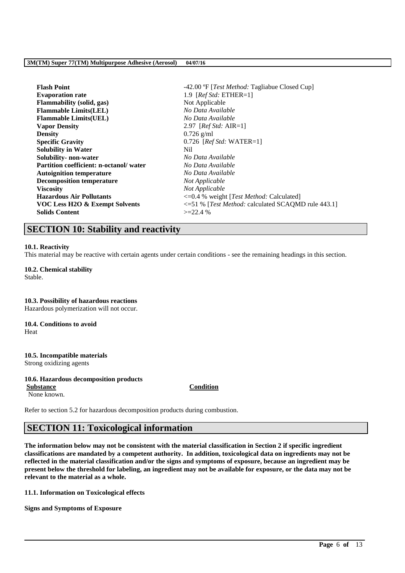| <b>Flash Point</b>                            | -42.00 °F [ <i>Test Method:</i> Tagliabue Closed Cup] |
|-----------------------------------------------|-------------------------------------------------------|
| <b>Evaporation rate</b>                       | 1.9 [ $RefStd: ETHER=1$ ]                             |
| <b>Flammability</b> (solid, gas)              | Not Applicable                                        |
| <b>Flammable Limits(LEL)</b>                  | No Data Available                                     |
| <b>Flammable Limits(UEL)</b>                  | No Data Available                                     |
| <b>Vapor Density</b>                          | 2.97 [ $Ref Std: AIR=1$ ]                             |
| <b>Density</b>                                | $0.726$ g/ml                                          |
| <b>Specific Gravity</b>                       | $0.726$ [ <i>Ref Std:</i> WATER=1]                    |
| <b>Solubility in Water</b>                    | Nil.                                                  |
| Solubility- non-water                         | No Data Available                                     |
| <b>Partition coefficient: n-octanol/water</b> | No Data Available                                     |
| <b>Autoignition temperature</b>               | No Data Available                                     |
| <b>Decomposition temperature</b>              | Not Applicable                                        |
| <b>Viscosity</b>                              | Not Applicable                                        |
| <b>Hazardous Air Pollutants</b>               | $\leq 0.4$ % weight [ <i>Test Method:</i> Calculated] |
| VOC Less H2O & Exempt Solvents                | <= 51 % [Test Method: calculated SCAQMD rule 443.1]   |
| <b>Solids Content</b>                         | $>=22.4%$                                             |
|                                               |                                                       |

# **SECTION 10: Stability and reactivity**

### **10.1. Reactivity**

This material may be reactive with certain agents under certain conditions - see the remaining headings in this section.

#### **10.2. Chemical stability** Stable.

**10.3. Possibility of hazardous reactions** Hazardous polymerization will not occur.

**10.4. Conditions to avoid** Heat

# **10.5. Incompatible materials**

Strong oxidizing agents

# **10.6. Hazardous decomposition products**

**Substance Condition** None known.

Refer to section 5.2 for hazardous decomposition products during combustion.

# **SECTION 11: Toxicological information**

**The information below may not be consistent with the material classification in Section 2 if specific ingredient classifications are mandated by a competent authority. In addition, toxicological data on ingredients may not be reflected in the material classification and/or the signs and symptoms of exposure, because an ingredient may be present below the threshold for labeling, an ingredient may not be available for exposure, or the data may not be relevant to the material as a whole.**

\_\_\_\_\_\_\_\_\_\_\_\_\_\_\_\_\_\_\_\_\_\_\_\_\_\_\_\_\_\_\_\_\_\_\_\_\_\_\_\_\_\_\_\_\_\_\_\_\_\_\_\_\_\_\_\_\_\_\_\_\_\_\_\_\_\_\_\_\_\_\_\_\_\_\_\_\_\_\_\_\_\_\_\_\_\_\_\_\_\_

**11.1. Information on Toxicological effects**

**Signs and Symptoms of Exposure**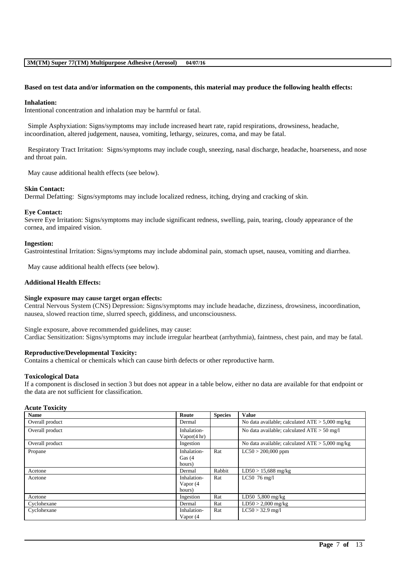### **Based on test data and/or information on the components, this material may produce the following health effects:**

#### **Inhalation:**

Intentional concentration and inhalation may be harmful or fatal.

Simple Asphyxiation: Signs/symptoms may include increased heart rate, rapid respirations, drowsiness, headache, incoordination, altered judgement, nausea, vomiting, lethargy, seizures, coma, and may be fatal.

Respiratory Tract Irritation: Signs/symptoms may include cough, sneezing, nasal discharge, headache, hoarseness, and nose and throat pain.

May cause additional health effects (see below).

#### **Skin Contact:**

Dermal Defatting: Signs/symptoms may include localized redness, itching, drying and cracking of skin.

#### **Eye Contact:**

Severe Eye Irritation: Signs/symptoms may include significant redness, swelling, pain, tearing, cloudy appearance of the cornea, and impaired vision.

#### **Ingestion:**

Gastrointestinal Irritation: Signs/symptoms may include abdominal pain, stomach upset, nausea, vomiting and diarrhea.

May cause additional health effects (see below).

### **Additional Health Effects:**

#### **Single exposure may cause target organ effects:**

Central Nervous System (CNS) Depression: Signs/symptoms may include headache, dizziness, drowsiness, incoordination, nausea, slowed reaction time, slurred speech, giddiness, and unconsciousness.

Single exposure, above recommended guidelines, may cause: Cardiac Sensitization: Signs/symptoms may include irregular heartbeat (arrhythmia), faintness, chest pain, and may be fatal.

### **Reproductive/Developmental Toxicity:**

Contains a chemical or chemicals which can cause birth defects or other reproductive harm.

### **Toxicological Data**

If a component is disclosed in section 3 but does not appear in a table below, either no data are available for that endpoint or the data are not sufficient for classification.

### **Acute Toxicity**

| <b>Name</b>     | Route                                 | <b>Species</b> | <b>Value</b>                                      |
|-----------------|---------------------------------------|----------------|---------------------------------------------------|
| Overall product | Dermal                                |                | No data available; calculated $ATE > 5,000$ mg/kg |
| Overall product | Inhalation-<br>Vapor $(4 \text{ hr})$ |                | No data available; calculated $ATE > 50$ mg/l     |
| Overall product | Ingestion                             |                | No data available; calculated $ATE > 5,000$ mg/kg |
| Propane         | Inhalation-<br>Gas $(4)$<br>hours)    | Rat            | $LC50 > 200,000$ ppm                              |
| Acetone         | Dermal                                | Rabbit         | $LD50 > 15,688$ mg/kg                             |
| Acetone         | Inhalation-<br>Vapor (4<br>hours)     | Rat            | LC50 $76 \text{ mg/l}$                            |
| Acetone         | Ingestion                             | Rat            | LD50 $5,800$ mg/kg                                |
| Cyclohexane     | Dermal                                | Rat            | $LD50 > 2,000$ mg/kg                              |
| Cyclohexane     | Inhalation-<br>Vapor (4               | Rat            | $LC50 > 32.9$ mg/l                                |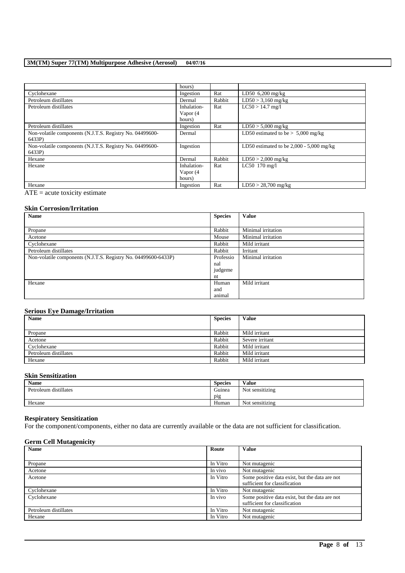|                                                                    | hours)      |        |                                            |
|--------------------------------------------------------------------|-------------|--------|--------------------------------------------|
| Cyclohexane                                                        | Ingestion   | Rat    | $LD50$ 6,200 mg/kg                         |
| Petroleum distillates                                              | Dermal      | Rabbit | $LD50 > 3,160$ mg/kg                       |
| Petroleum distillates                                              | Inhalation- | Rat    | $LC50 > 14.7$ mg/l                         |
|                                                                    | Vapor (4    |        |                                            |
|                                                                    | hours)      |        |                                            |
| Petroleum distillates                                              | Ingestion   | Rat    | $LD50 > 5,000$ mg/kg                       |
| Non-volatile components (N.J.T.S. Registry No. 04499600-           | Dermal      |        | LD50 estimated to be $> 5,000$ mg/kg       |
| 6433P)                                                             |             |        |                                            |
| Non-volatile components (N.J.T.S. Registry No. 04499600-<br>6433P) | Ingestion   |        | LD50 estimated to be $2,000 - 5,000$ mg/kg |
| Hexane                                                             | Dermal      | Rabbit | $LD50 > 2,000$ mg/kg                       |
| Hexane                                                             | Inhalation- | Rat    | LC50 170 mg/l                              |
|                                                                    | Vapor (4    |        |                                            |
|                                                                    | hours)      |        |                                            |
| Hexane                                                             | Ingestion   | Rat    | $LD50 > 28,700$ mg/kg                      |

 $\overline{ATE}$  = acute toxicity estimate

## **Skin Corrosion/Irritation**

| <b>Name</b>                                                    | <b>Species</b> | <b>Value</b>       |
|----------------------------------------------------------------|----------------|--------------------|
|                                                                |                |                    |
| Propane                                                        | Rabbit         | Minimal irritation |
| Acetone                                                        | Mouse          | Minimal irritation |
| Cyclohexane                                                    | Rabbit         | Mild irritant      |
| Petroleum distillates                                          | Rabbit         | Irritant           |
| Non-volatile components (N.J.T.S. Registry No. 04499600-6433P) | Professio      | Minimal irritation |
|                                                                | nal            |                    |
|                                                                | judgeme        |                    |
|                                                                | nt             |                    |
| Hexane                                                         | Human          | Mild irritant      |
|                                                                | and            |                    |
|                                                                | animal         |                    |

# **Serious Eye Damage/Irritation**

| <b>Name</b>           | <b>Species</b> | Value           |
|-----------------------|----------------|-----------------|
|                       |                |                 |
| Propane               | Rabbit         | Mild irritant   |
| Acetone               | Rabbit         | Severe irritant |
| Cyclohexane           | Rabbit         | Mild irritant   |
| Petroleum distillates | Rabbit         | Mild irritant   |
| Hexane                | Rabbit         | Mild irritant   |

## **Skin Sensitization**

| <b>Name</b>           | <b>Species</b> | Value           |
|-----------------------|----------------|-----------------|
| Petroleum distillates | Guinea         | Not sensitizing |
|                       | pig            |                 |
| Hexane                | Human          | Not sensitizing |

## **Respiratory Sensitization**

For the component/components, either no data are currently available or the data are not sufficient for classification.

### **Germ Cell Mutagenicity**

| <b>Name</b>           | Route    | <b>Value</b>                                   |
|-----------------------|----------|------------------------------------------------|
|                       |          |                                                |
| Propane               | In Vitro | Not mutagenic                                  |
| Acetone               | In vivo  | Not mutagenic                                  |
| Acetone               | In Vitro | Some positive data exist, but the data are not |
|                       |          | sufficient for classification                  |
| Cyclohexane           | In Vitro | Not mutagenic                                  |
| Cyclohexane           | In vivo  | Some positive data exist, but the data are not |
|                       |          | sufficient for classification                  |
| Petroleum distillates | In Vitro | Not mutagenic                                  |
| Hexane                | In Vitro | Not mutagenic                                  |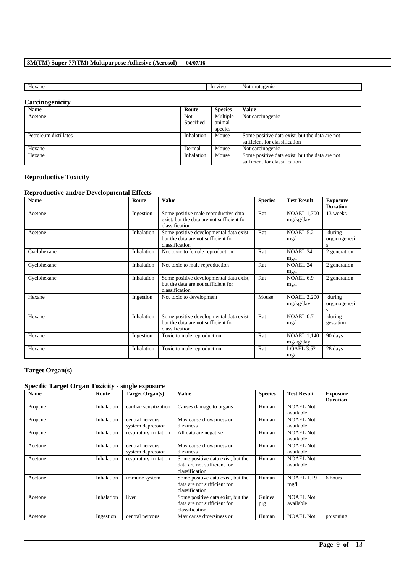| <b>VIVC</b><br>lexane<br>In<br>INOT<br>mutagenic |  |
|--------------------------------------------------|--|

# **Carcinogenicity**

| <b>Name</b>           | Route      | <b>Species</b> | Value                                          |
|-----------------------|------------|----------------|------------------------------------------------|
| Acetone               | Not        | Multiple       | Not carcinogenic                               |
|                       | Specified  | animal         |                                                |
|                       |            | species        |                                                |
| Petroleum distillates | Inhalation | Mouse          | Some positive data exist, but the data are not |
|                       |            |                | sufficient for classification                  |
| Hexane                | Dermal     | Mouse          | Not carcinogenic                               |
| Hexane                | Inhalation | Mouse          | Some positive data exist, but the data are not |
|                       |            |                | sufficient for classification                  |

# **Reproductive Toxicity**

# **Reproductive and/or Developmental Effects**

| <b>Name</b> | Route      | <b>Value</b>                                                                                         | <b>Species</b> | <b>Test Result</b>              | <b>Exposure</b><br><b>Duration</b> |
|-------------|------------|------------------------------------------------------------------------------------------------------|----------------|---------------------------------|------------------------------------|
| Acetone     | Ingestion  | Some positive male reproductive data<br>exist, but the data are not sufficient for<br>classification | Rat            | <b>NOAEL 1,700</b><br>mg/kg/day | 13 weeks                           |
| Acetone     | Inhalation | Some positive developmental data exist,<br>but the data are not sufficient for<br>classification     | Rat            | NOAEL 5.2<br>mg/l               | during<br>organogenesi<br>S        |
| Cyclohexane | Inhalation | Not toxic to female reproduction                                                                     | Rat            | <b>NOAEL 24</b><br>mg/1         | 2 generation                       |
| Cyclohexane | Inhalation | Not toxic to male reproduction                                                                       | Rat            | <b>NOAEL 24</b><br>mg/1         | 2 generation                       |
| Cyclohexane | Inhalation | Some positive developmental data exist,<br>but the data are not sufficient for<br>classification     | Rat            | NOAEL 6.9<br>mg/1               | 2 generation                       |
| Hexane      | Ingestion  | Not toxic to development                                                                             | Mouse          | <b>NOAEL 2,200</b><br>mg/kg/day | during<br>organogenesi<br>S        |
| Hexane      | Inhalation | Some positive developmental data exist,<br>but the data are not sufficient for<br>classification     | Rat            | NOAEL 0.7<br>mg/l               | during<br>gestation                |
| Hexane      | Ingestion  | Toxic to male reproduction                                                                           | Rat            | <b>NOAEL 1,140</b><br>mg/kg/day | 90 days                            |
| Hexane      | Inhalation | Toxic to male reproduction                                                                           | Rat            | LOAEL 3.52<br>mg/l              | 28 days                            |

# **Target Organ(s)**

# **Specific Target Organ Toxicity - single exposure**

| <b>Name</b> | Route      | <b>Target Organ(s)</b>               | <b>Value</b>                                                                       | <b>Species</b> | <b>Test Result</b>            | <b>Exposure</b><br><b>Duration</b> |
|-------------|------------|--------------------------------------|------------------------------------------------------------------------------------|----------------|-------------------------------|------------------------------------|
| Propane     | Inhalation | cardiac sensitization                | Causes damage to organs                                                            | Human          | <b>NOAEL Not</b><br>available |                                    |
| Propane     | Inhalation | central nervous<br>system depression | May cause drowsiness or<br>dizziness                                               | Human          | <b>NOAEL Not</b><br>available |                                    |
| Propane     | Inhalation | respiratory irritation               | All data are negative                                                              | Human          | <b>NOAEL Not</b><br>available |                                    |
| Acetone     | Inhalation | central nervous<br>system depression | May cause drowsiness or<br>dizziness                                               | Human          | <b>NOAEL Not</b><br>available |                                    |
| Acetone     | Inhalation | respiratory irritation               | Some positive data exist, but the<br>data are not sufficient for<br>classification | Human          | <b>NOAEL Not</b><br>available |                                    |
| Acetone     | Inhalation | immune system                        | Some positive data exist, but the<br>data are not sufficient for<br>classification | Human          | <b>NOAEL 1.19</b><br>mg/1     | 6 hours                            |
| Acetone     | Inhalation | liver                                | Some positive data exist, but the<br>data are not sufficient for<br>classification | Guinea<br>pig  | <b>NOAEL Not</b><br>available |                                    |
| Acetone     | Ingestion  | central nervous                      | May cause drowsiness or                                                            | Human          | <b>NOAEL Not</b>              | poisoning                          |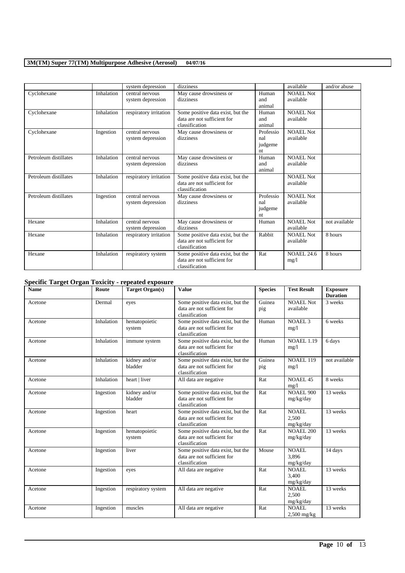|                       |            | system depression                    | dizziness                                                                          |                                   | available                     | and/or abuse  |
|-----------------------|------------|--------------------------------------|------------------------------------------------------------------------------------|-----------------------------------|-------------------------------|---------------|
| Cyclohexane           | Inhalation | central nervous<br>system depression | May cause drowsiness or<br>dizziness                                               | Human<br>and<br>animal            | <b>NOAEL Not</b><br>available |               |
| Cyclohexane           | Inhalation | respiratory irritation               | Some positive data exist, but the<br>data are not sufficient for<br>classification | Human<br>and<br>animal            | NOAEL Not<br>available        |               |
| Cyclohexane           | Ingestion  | central nervous<br>system depression | May cause drowsiness or<br>dizziness                                               | Professio<br>nal<br>judgeme<br>nt | NOAEL Not<br>available        |               |
| Petroleum distillates | Inhalation | central nervous<br>system depression | May cause drowsiness or<br>dizziness                                               | Human<br>and<br>animal            | <b>NOAEL Not</b><br>available |               |
| Petroleum distillates | Inhalation | respiratory irritation               | Some positive data exist, but the<br>data are not sufficient for<br>classification |                                   | <b>NOAEL Not</b><br>available |               |
| Petroleum distillates | Ingestion  | central nervous<br>system depression | May cause drowsiness or<br>dizziness                                               | Professio<br>nal<br>judgeme<br>nt | <b>NOAEL Not</b><br>available |               |
| Hexane                | Inhalation | central nervous<br>system depression | May cause drowsiness or<br>dizziness                                               | Human                             | <b>NOAEL Not</b><br>available | not available |
| Hexane                | Inhalation | respiratory irritation               | Some positive data exist, but the<br>data are not sufficient for<br>classification | Rabbit                            | <b>NOAEL Not</b><br>available | 8 hours       |
| Hexane                | Inhalation | respiratory system                   | Some positive data exist, but the<br>data are not sufficient for<br>classification | Rat                               | <b>NOAEL 24.6</b><br>mg/1     | 8 hours       |

# **Specific Target Organ Toxicity - repeated exposure**

| <b>Name</b> | Route      | <b>Target Organ(s)</b>   | <b>Value</b>                                                                       | <b>Species</b> | <b>Test Result</b>                 | <b>Exposure</b><br><b>Duration</b> |
|-------------|------------|--------------------------|------------------------------------------------------------------------------------|----------------|------------------------------------|------------------------------------|
| Acetone     | Dermal     | eyes                     | Some positive data exist, but the<br>data are not sufficient for<br>classification | Guinea<br>pig  | <b>NOAEL Not</b><br>available      | 3 weeks                            |
| Acetone     | Inhalation | hematopoietic<br>system  | Some positive data exist, but the<br>data are not sufficient for<br>classification | Human          | <b>NOAEL 3</b><br>mg/1             | 6 weeks                            |
| Acetone     | Inhalation | immune system            | Some positive data exist, but the<br>data are not sufficient for<br>classification | Human          | <b>NOAEL 1.19</b><br>mg/1          | 6 days                             |
| Acetone     | Inhalation | kidney and/or<br>bladder | Some positive data exist, but the<br>data are not sufficient for<br>classification | Guinea<br>pig  | <b>NOAEL 119</b><br>mg/1           | not available                      |
| Acetone     | Inhalation | heart   liver            | All data are negative                                                              | Rat            | <b>NOAEL 45</b><br>mg/1            | 8 weeks                            |
| Acetone     | Ingestion  | kidney and/or<br>bladder | Some positive data exist, but the<br>data are not sufficient for<br>classification | Rat            | <b>NOAEL 900</b><br>mg/kg/day      | 13 weeks                           |
| Acetone     | Ingestion  | heart                    | Some positive data exist, but the<br>data are not sufficient for<br>classification | Rat            | NOAEL.<br>2.500<br>mg/kg/day       | 13 weeks                           |
| Acetone     | Ingestion  | hematopoietic<br>system  | Some positive data exist, but the<br>data are not sufficient for<br>classification | Rat            | <b>NOAEL 200</b><br>mg/kg/day      | 13 weeks                           |
| Acetone     | Ingestion  | liver                    | Some positive data exist, but the<br>data are not sufficient for<br>classification | Mouse          | <b>NOAEL</b><br>3.896<br>mg/kg/day | 14 days                            |
| Acetone     | Ingestion  | eyes                     | All data are negative                                                              | Rat            | <b>NOAEL</b><br>3,400<br>mg/kg/day | 13 weeks                           |
| Acetone     | Ingestion  | respiratory system       | All data are negative                                                              | Rat            | <b>NOAEL</b><br>2.500<br>mg/kg/day | 13 weeks                           |
| Acetone     | Ingestion  | muscles                  | All data are negative                                                              | Rat            | <b>NOAEL</b><br>$2,500$ mg/kg      | 13 weeks                           |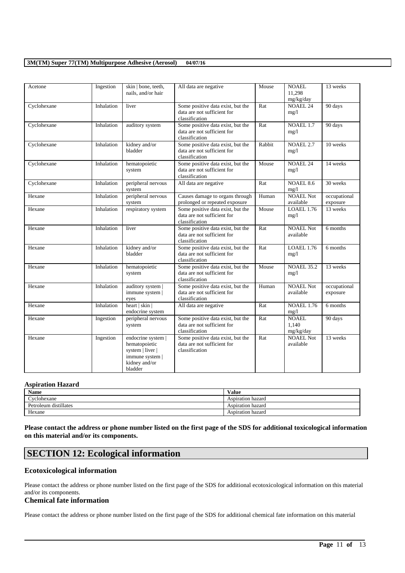| Acetone     | Ingestion  | skin   bone, teeth,<br>nails, and/or hair                                                              | All data are negative                                                              | Mouse  | <b>NOAEL</b><br>11,298<br>mg/kg/day | 13 weeks                 |
|-------------|------------|--------------------------------------------------------------------------------------------------------|------------------------------------------------------------------------------------|--------|-------------------------------------|--------------------------|
| Cyclohexane | Inhalation | liver                                                                                                  | Some positive data exist, but the<br>data are not sufficient for<br>classification | Rat    | <b>NOAEL 24</b><br>mg/1             | 90 days                  |
| Cyclohexane | Inhalation | auditory system                                                                                        | Some positive data exist, but the<br>data are not sufficient for<br>classification | Rat    | NOAEL 1.7<br>mg/1                   | 90 days                  |
| Cyclohexane | Inhalation | kidney and/or<br>bladder                                                                               | Some positive data exist, but the<br>data are not sufficient for<br>classification | Rabbit | <b>NOAEL 2.7</b><br>mg/1            | $10$ weeks               |
| Cyclohexane | Inhalation | hematopoietic<br>system                                                                                | Some positive data exist, but the<br>data are not sufficient for<br>classification | Mouse  | <b>NOAEL 24</b><br>mg/l             | 14 weeks                 |
| Cyclohexane | Inhalation | peripheral nervous<br>system                                                                           | All data are negative                                                              | Rat    | <b>NOAEL 8.6</b><br>mg/1            | 30 weeks                 |
| Hexane      | Inhalation | peripheral nervous<br>system                                                                           | Causes damage to organs through<br>prolonged or repeated exposure                  | Human  | <b>NOAEL Not</b><br>available       | occupational<br>exposure |
| Hexane      | Inhalation | respiratory system                                                                                     | Some positive data exist, but the<br>data are not sufficient for<br>classification | Mouse  | <b>LOAEL 1.76</b><br>mg/1           | 13 weeks                 |
| Hexane      | Inhalation | liver                                                                                                  | Some positive data exist, but the<br>data are not sufficient for<br>classification | Rat    | <b>NOAEL Not</b><br>available       | 6 months                 |
| Hexane      | Inhalation | kidney and/or<br>bladder                                                                               | Some positive data exist, but the<br>data are not sufficient for<br>classification | Rat    | <b>LOAEL 1.76</b><br>mg/1           | 6 months                 |
| Hexane      | Inhalation | hematopoietic<br>system                                                                                | Some positive data exist, but the<br>data are not sufficient for<br>classification | Mouse  | <b>NOAEL 35.2</b><br>mg/1           | 13 weeks                 |
| Hexane      | Inhalation | auditory system  <br>immune system  <br>eyes                                                           | Some positive data exist, but the<br>data are not sufficient for<br>classification | Human  | <b>NOAEL Not</b><br>available       | occupational<br>exposure |
| Hexane      | Inhalation | heart $ $ skin $ $<br>endocrine system                                                                 | All data are negative                                                              | Rat    | <b>NOAEL 1.76</b><br>mg/l           | 6 months                 |
| Hexane      | Ingestion  | peripheral nervous<br>system                                                                           | Some positive data exist, but the<br>data are not sufficient for<br>classification | Rat    | <b>NOAEL</b><br>1.140<br>mg/kg/day  | 90 days                  |
| Hexane      | Ingestion  | endocrine system  <br>hematopoietic<br>system   liver  <br>immune system  <br>kidney and/or<br>bladder | Some positive data exist, but the<br>data are not sufficient for<br>classification | Rat    | <b>NOAEL Not</b><br>available       | 13 weeks                 |

# **Aspiration Hazard**

| <b>Name</b>           | $-1$<br>Value     |
|-----------------------|-------------------|
| Cyclohexane           | Aspiration hazard |
| Petroleum distillates | Aspiration hazard |
| Hexane                | Aspiration hazard |

**Please contact the address or phone number listed on the first page of the SDS for additional toxicological information on this material and/or its components.**

# **SECTION 12: Ecological information**

# **Ecotoxicological information**

Please contact the address or phone number listed on the first page of the SDS for additional ecotoxicological information on this material and/or its components.

# **Chemical fate information**

Please contact the address or phone number listed on the first page of the SDS for additional chemical fate information on this material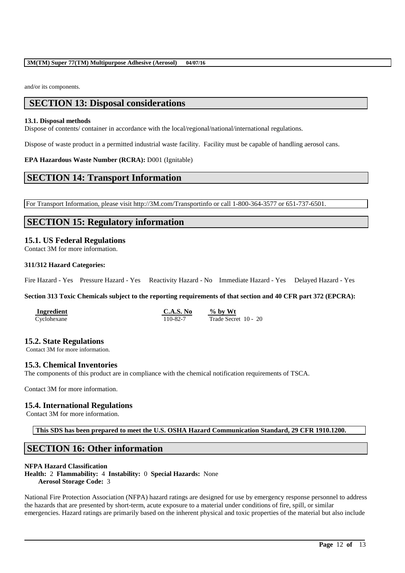and/or its components.

# **SECTION 13: Disposal considerations**

### **13.1. Disposal methods**

Dispose of contents/ container in accordance with the local/regional/national/international regulations.

Dispose of waste product in a permitted industrial waste facility. Facility must be capable of handling aerosol cans.

# **EPA Hazardous Waste Number (RCRA):** D001 (Ignitable)

# **SECTION 14: Transport Information**

For Transport Information, please visit http://3M.com/Transportinfo or call 1-800-364-3577 or 651-737-6501.

# **SECTION 15: Regulatory information**

# **15.1. US Federal Regulations**

Contact 3M for more information.

# **311/312 Hazard Categories:**

Fire Hazard - Yes Pressure Hazard - Yes Reactivity Hazard - No Immediate Hazard - Yes Delayed Hazard - Yes

**Section 313 Toxic Chemicals subject to the reporting requirements of that section and 40 CFR part 372 (EPCRA):**

| Ingredient  | C.A.S. No | $%$ by Wt            |
|-------------|-----------|----------------------|
| Cyclohexane | 110-82-7  | Trade Secret 10 - 20 |

# **15.2. State Regulations**

Contact 3M for more information.

# **15.3. Chemical Inventories**

The components of this product are in compliance with the chemical notification requirements of TSCA.

Contact 3M for more information.

# **15.4. International Regulations**

Contact 3M for more information.

**This SDS has been prepared to meet the U.S. OSHA Hazard Communication Standard, 29 CFR 1910.1200.**

# **SECTION 16: Other information**

# **NFPA Hazard Classification**

**Health:** 2 **Flammability:** 4 **Instability:** 0 **Special Hazards:** None **Aerosol Storage Code:** 3

National Fire Protection Association (NFPA) hazard ratings are designed for use by emergency response personnel to address the hazards that are presented by short-term, acute exposure to a material under conditions of fire, spill, or similar emergencies. Hazard ratings are primarily based on the inherent physical and toxic properties of the material but also include